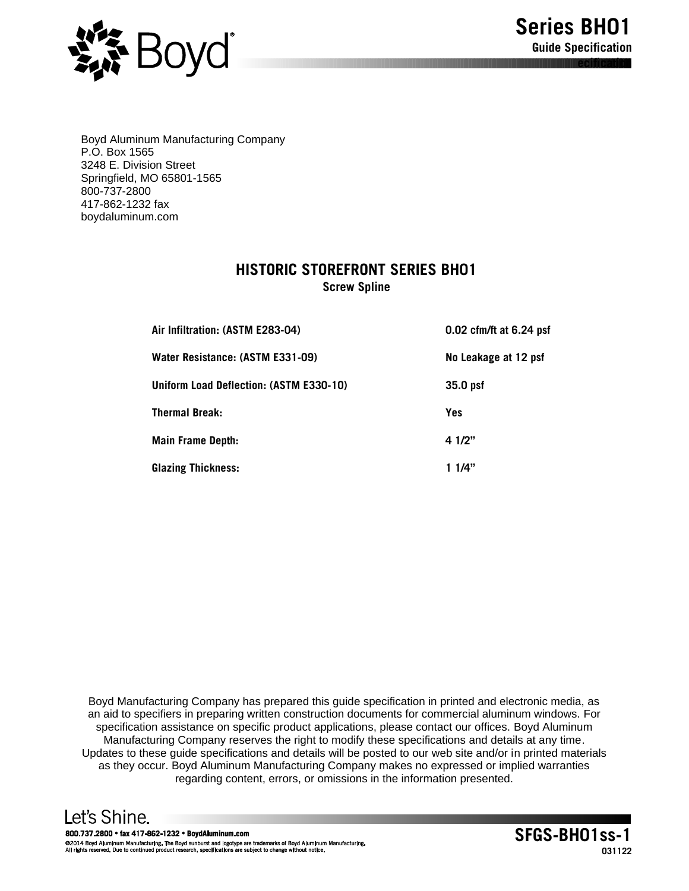

Boyd Aluminum Manufacturing Company P.O. Box 1565 3248 E. Division Street Springfield, MO 65801-1565 800-737-2800 417-862-1232 fax boydaluminum.com

# **HISTORIC STOREFRONT SERIES BH01**

**Screw Spline**

| Air Infiltration: (ASTM E283-04)        | 0.02 cfm/ft at 6.24 psf |
|-----------------------------------------|-------------------------|
| Water Resistance: (ASTM E331-09)        | No Leakage at 12 psf    |
| Uniform Load Deflection: (ASTM E330-10) | 35.0 psf                |
| <b>Thermal Break:</b>                   | <b>Yes</b>              |
| <b>Main Frame Depth:</b>                | 4 1/2"                  |
| <b>Glazing Thickness:</b>               | 1 1/4"                  |

Boyd Manufacturing Company has prepared this guide specification in printed and electronic media, as an aid to specifiers in preparing written construction documents for commercial aluminum windows. For specification assistance on specific product applications, please contact our offices. Boyd Aluminum Manufacturing Company reserves the right to modify these specifications and details at any time. Updates to these guide specifications and details will be posted to our web site and/or in printed materials as they occur. Boyd Aluminum Manufacturing Company makes no expressed or implied warranties regarding content, errors, or omissions in the information presented.

Let's Shine. 800.737.2800 · fax 417-862-1232 · BoydAluminum.com @2014 Boyd Aluminum Manufacturing. The Boyd sunburst and logotype are trademarks of Boyd Aluminum<br>All rights reserved. Due to continued product research, specifications are subject to change without notice.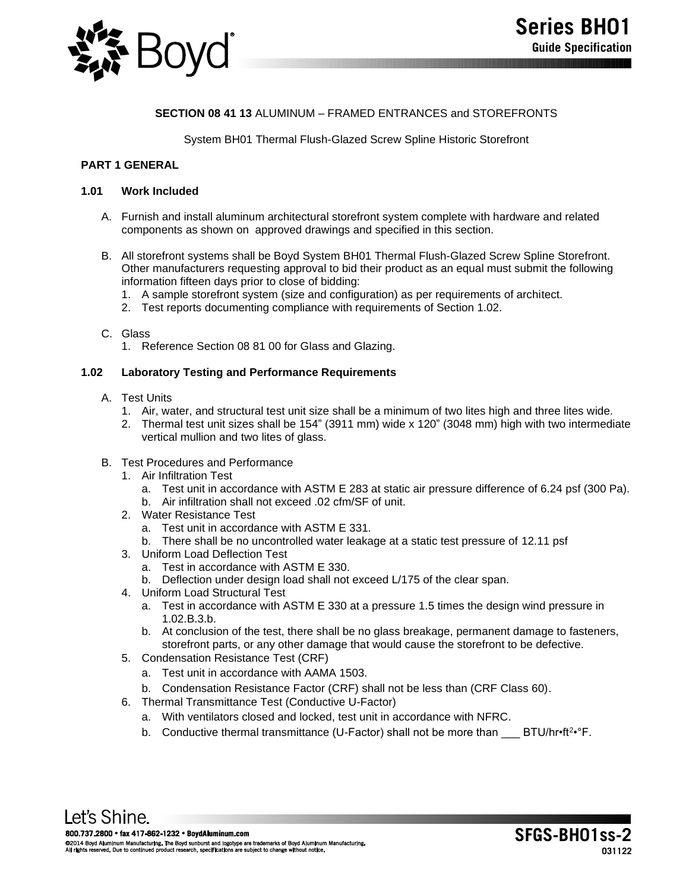

# **SECTION 08 41 13** ALUMINUM – FRAMED ENTRANCES and STOREFRONTS

## System BH01 Thermal Flush-Glazed Screw Spline Historic Storefront

## **PART 1 GENERAL**

### **1.01 Work Included**

- A. Furnish and install aluminum architectural storefront system complete with hardware and related components as shown on approved drawings and specified in this section.
- B. All storefront systems shall be Boyd System BH01 Thermal Flush-Glazed Screw Spline Storefront. Other manufacturers requesting approval to bid their product as an equal must submit the following information fifteen days prior to close of bidding:
	- 1. A sample storefront system (size and configuration) as per requirements of architect.
	- 2. Test reports documenting compliance with requirements of Section 1.02.
- C. Glass
	- 1. Reference Section 08 81 00 for Glass and Glazing.

#### **1.02 Laboratory Testing and Performance Requirements**

- A. Test Units
	- 1. Air, water, and structural test unit size shall be a minimum of two lites high and three lites wide.
	- 2. Thermal test unit sizes shall be 154" (3911 mm) wide x 120" (3048 mm) high with two intermediate vertical mullion and two lites of glass.

#### B. Test Procedures and Performance

- 1. Air Infiltration Test
	- a. Test unit in accordance with ASTM E 283 at static air pressure difference of 6.24 psf (300 Pa).
	- b. Air infiltration shall not exceed .02 cfm/SF of unit.
- 2. Water Resistance Test
	- a. Test unit in accordance with ASTM E 331.
	- b. There shall be no uncontrolled water leakage at a static test pressure of 12.11 psf
- 3. Uniform Load Deflection Test
	- a. Test in accordance with ASTM E 330.
	- b. Deflection under design load shall not exceed L/175 of the clear span.
- 4. Uniform Load Structural Test
	- a. Test in accordance with ASTM E 330 at a pressure 1.5 times the design wind pressure in 1.02.B.3.b.
	- b. At conclusion of the test, there shall be no glass breakage, permanent damage to fasteners, storefront parts, or any other damage that would cause the storefront to be defective.
- 5. Condensation Resistance Test (CRF)
	- a. Test unit in accordance with AAMA 1503.
	- b. Condensation Resistance Factor (CRF) shall not be less than (CRF Class 60).
- 6. Thermal Transmittance Test (Conductive U-Factor)
	- a. With ventilators closed and locked, test unit in accordance with NFRC.
	- b. Conductive thermal transmittance (U-Factor) shall not be more than \_\_\_ BTU/hr•ft<sup>2</sup>•°F.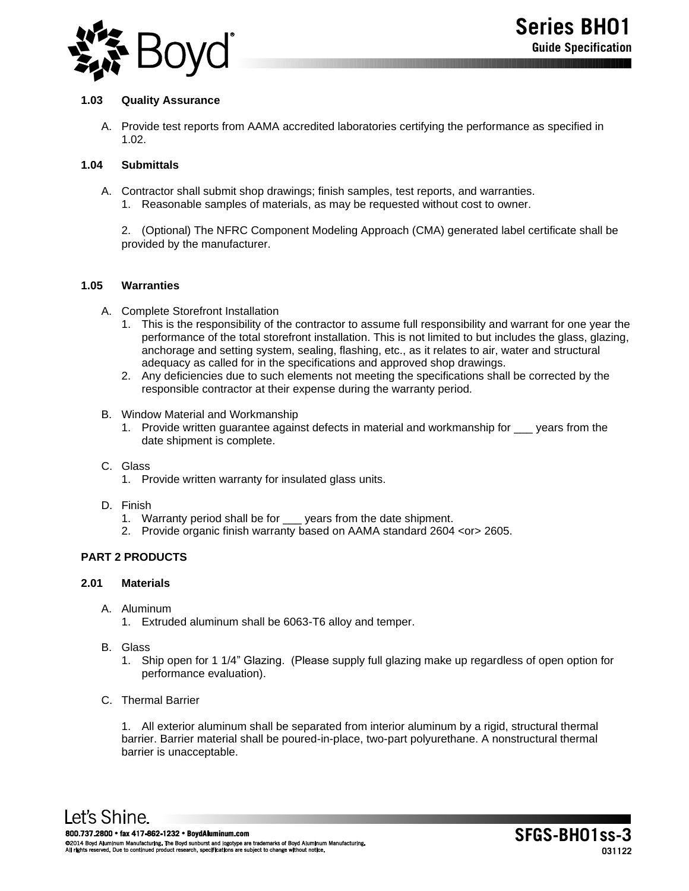

## **1.03 Quality Assurance**

A. Provide test reports from AAMA accredited laboratories certifying the performance as specified in 1.02.

## **1.04 Submittals**

- A. Contractor shall submit shop drawings; finish samples, test reports, and warranties.
	- 1. Reasonable samples of materials, as may be requested without cost to owner.

2. (Optional) The NFRC Component Modeling Approach (CMA) generated label certificate shall be provided by the manufacturer.

## **1.05 Warranties**

- A. Complete Storefront Installation
	- 1. This is the responsibility of the contractor to assume full responsibility and warrant for one year the performance of the total storefront installation. This is not limited to but includes the glass, glazing, anchorage and setting system, sealing, flashing, etc., as it relates to air, water and structural adequacy as called for in the specifications and approved shop drawings.
	- 2. Any deficiencies due to such elements not meeting the specifications shall be corrected by the responsible contractor at their expense during the warranty period.
- B. Window Material and Workmanship
	- 1. Provide written guarantee against defects in material and workmanship for \_\_\_ years from the date shipment is complete.
- C. Glass
	- 1. Provide written warranty for insulated glass units.
- D. Finish
	- 1. Warranty period shall be for \_\_\_ years from the date shipment.
	- 2. Provide organic finish warranty based on AAMA standard 2604 <or> 2605.

# **PART 2 PRODUCTS**

# **2.01 Materials**

- A. Aluminum
	- 1. Extruded aluminum shall be 6063-T6 alloy and temper.
- B. Glass
	- 1. Ship open for 1 1/4" Glazing. (Please supply full glazing make up regardless of open option for performance evaluation).

## C. Thermal Barrier

1. All exterior aluminum shall be separated from interior aluminum by a rigid, structural thermal barrier. Barrier material shall be poured-in-place, two-part polyurethane. A nonstructural thermal barrier is unacceptable.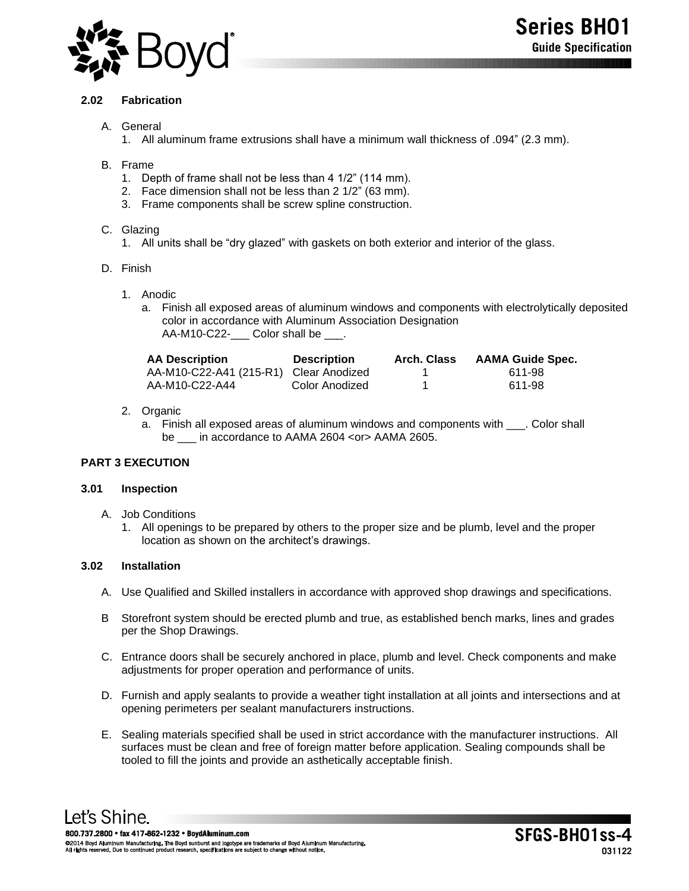

## **2.02 Fabrication**

- A. General
	- 1. All aluminum frame extrusions shall have a minimum wall thickness of .094" (2.3 mm).
- B. Frame
	- 1. Depth of frame shall not be less than 4 1/2" (114 mm).
	- 2. Face dimension shall not be less than 2 1/2" (63 mm).
	- 3. Frame components shall be screw spline construction.

## C. Glazing

- 1. All units shall be "dry glazed" with gaskets on both exterior and interior of the glass.
- D. Finish
	- 1. Anodic
		- a. Finish all exposed areas of aluminum windows and components with electrolytically deposited color in accordance with Aluminum Association Designation AA-M10-C22-\_\_\_\_ Color shall be \_\_\_.

| <b>AA Description</b>                  | <b>Description</b> | <b>Arch. Class</b> | <b>AAMA Guide Spec.</b> |
|----------------------------------------|--------------------|--------------------|-------------------------|
| AA-M10-C22-A41 (215-R1) Clear Anodized |                    |                    | 611-98                  |
| AA-M10-C22-A44                         | Color Anodized     |                    | 611-98                  |

- 2. Organic
	- a. Finish all exposed areas of aluminum windows and components with . Color shall be in accordance to AAMA 2604 <or>AAMA 2605.

# **PART 3 EXECUTION**

### **3.01 Inspection**

- A. Job Conditions
	- 1. All openings to be prepared by others to the proper size and be plumb, level and the proper location as shown on the architect's drawings.

### **3.02 Installation**

- A. Use Qualified and Skilled installers in accordance with approved shop drawings and specifications.
- B Storefront system should be erected plumb and true, as established bench marks, lines and grades per the Shop Drawings.
- C. Entrance doors shall be securely anchored in place, plumb and level. Check components and make adjustments for proper operation and performance of units.
- D. Furnish and apply sealants to provide a weather tight installation at all joints and intersections and at opening perimeters per sealant manufacturers instructions.
- E. Sealing materials specified shall be used in strict accordance with the manufacturer instructions. All surfaces must be clean and free of foreign matter before application. Sealing compounds shall be tooled to fill the joints and provide an asthetically acceptable finish.